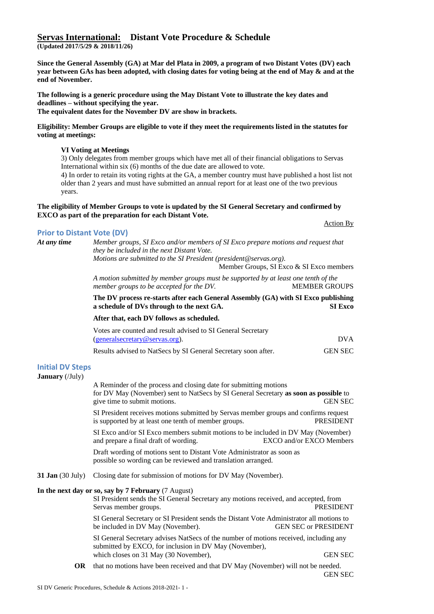# **Servas International: Distant Vote Procedure & Schedule**

**(Updated 2017/5/29 & 2018/11/26)**

**Since the General Assembly (GA) at Mar del Plata in 2009, a program of two Distant Votes (DV) each year between GAs has been adopted, with closing dates for voting being at the end of May & and at the end of November.**

**The following is a generic procedure using the May Distant Vote to illustrate the key dates and deadlines – without specifying the year. The equivalent dates for the November DV are show in brackets.**

**Eligibility: Member Groups are eligible to vote if they meet the requirements listed in the statutes for voting at meetings:**

### **VI Voting at Meetings**

3) Only delegates from member groups which have met all of their financial obligations to Servas International within six (6) months of the due date are allowed to vote.

4) In order to retain its voting rights at the GA, a member country must have published a host list not older than 2 years and must have submitted an annual report for at least one of the two previous years.

### **The eligibility of Member Groups to vote is updated by the SI General Secretary and confirmed by EXCO as part of the preparation for each Distant Vote.**

### Action By

**Prior to Distant Vote (DV)** *At any time Member groups, SI Exco and/or members of SI Exco prepare motions and request that they be included in the next Distant Vote. Motions are submitted to the SI President (president@servas.org).*

Member Groups, SI Exco & SI Exco members

*A motion submitted by member groups must be supported by at least one tenth of the member groups to be accepted for the DV.* MEMBER GROUPS

**The DV process re-starts after each General Assembly (GA) with SI Exco publishing a schedule of DVs through to the next GA. SI Exco**

# **After that, each DV follows as scheduled.**

| Votes are counted and result advised to SI General Secretary   |                |  |
|----------------------------------------------------------------|----------------|--|
| (generalsecretary@servas.org).                                 | <b>DVA</b>     |  |
| Results advised to NatSecs by SI General Secretary soon after. | <b>GEN SEC</b> |  |

# **Initial DV Steps**

**January** (/July)

A Reminder of the process and closing date for submitting motions for DV May (November) sent to NatSecs by SI General Secretary **as soon as possible** to give time to submit motions. GEN SEC SI President receives motions submitted by Servas member groups and confirms request is supported by at least one tenth of member groups. PRESIDENT SI Exco and/or SI Exco members submit motions to be included in DV May (November) and prepare a final draft of wording. EXCO and/or EXCO Members Draft wording of motions sent to Distant Vote Administrator as soon as possible so wording can be reviewed and translation arranged. **31 Jan** (30 July) Closing date for submission of motions for DV May (November). **In the next day or so, say by 7 February** (7 August) SI President sends the SI General Secretary any motions received, and accepted, from Servas member groups. PRESIDENT SI General Secretary or SI President sends the Distant Vote Administrator all motions to be included in DV May (November). GEN SEC or PRESIDENT SI General Secretary advises NatSecs of the number of motions received, including any submitted by EXCO, for inclusion in DV May (November), which closes on 31 May (30 November), GEN SEC **OR** that no motions have been received and that DV May (November) will not be needed. GEN SEC